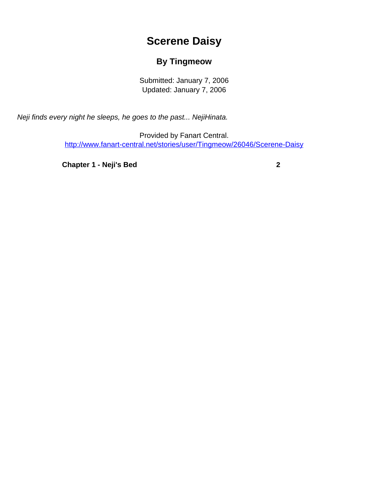## **Scerene Daisy**

## **By Tingmeow**

Submitted: January 7, 2006 Updated: January 7, 2006

<span id="page-0-0"></span>Neji finds every night he sleeps, he goes to the past... NejiHinata.

Provided by Fanart Central. [http://www.fanart-central.net/stories/user/Tingmeow/26046/Scerene-Daisy](#page-0-0)

**[Chapter 1 - Neji's Bed](#page-1-0)** [2](#page-1-0)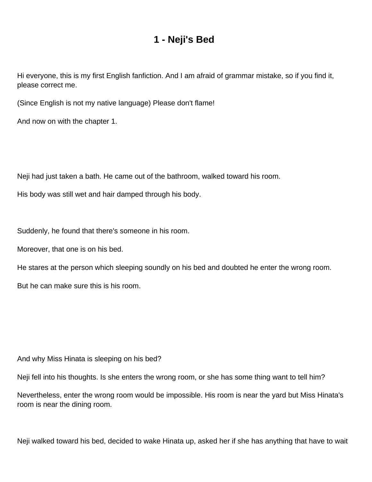## **1 - Neji's Bed**

<span id="page-1-0"></span>Hi everyone, this is my first English fanfiction. And I am afraid of grammar mistake, so if you find it, please correct me.

(Since English is not my native language) Please don't flame!

And now on with the chapter 1.

Neji had just taken a bath. He came out of the bathroom, walked toward his room.

His body was still wet and hair damped through his body.

Suddenly, he found that there's someone in his room.

Moreover, that one is on his bed.

He stares at the person which sleeping soundly on his bed and doubted he enter the wrong room.

But he can make sure this is his room.

And why Miss Hinata is sleeping on his bed?

Neji fell into his thoughts. Is she enters the wrong room, or she has some thing want to tell him?

Nevertheless, enter the wrong room would be impossible. His room is near the yard but Miss Hinata's room is near the dining room.

Neji walked toward his bed, decided to wake Hinata up, asked her if she has anything that have to wait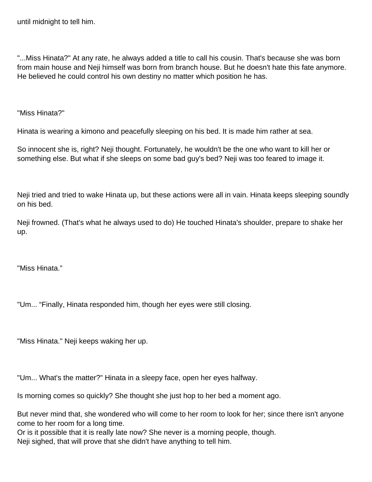until midnight to tell him.

"...Miss Hinata?" At any rate, he always added a title to call his cousin. That's because she was born from main house and Neji himself was born from branch house. But he doesn't hate this fate anymore. He believed he could control his own destiny no matter which position he has.

"Miss Hinata?"

Hinata is wearing a kimono and peacefully sleeping on his bed. It is made him rather at sea.

So innocent she is, right? Neji thought. Fortunately, he wouldn't be the one who want to kill her or something else. But what if she sleeps on some bad guy's bed? Neji was too feared to image it.

Neji tried and tried to wake Hinata up, but these actions were all in vain. Hinata keeps sleeping soundly on his bed.

Neji frowned. (That's what he always used to do) He touched Hinata's shoulder, prepare to shake her up.

"Miss Hinata."

"Um... "Finally, Hinata responded him, though her eyes were still closing.

"Miss Hinata." Neji keeps waking her up.

"Um... What's the matter?" Hinata in a sleepy face, open her eyes halfway.

Is morning comes so quickly? She thought she just hop to her bed a moment ago.

But never mind that, she wondered who will come to her room to look for her; since there isn't anyone come to her room for a long time.

Or is it possible that it is really late now? She never is a morning people, though. Neji sighed, that will prove that she didn't have anything to tell him.